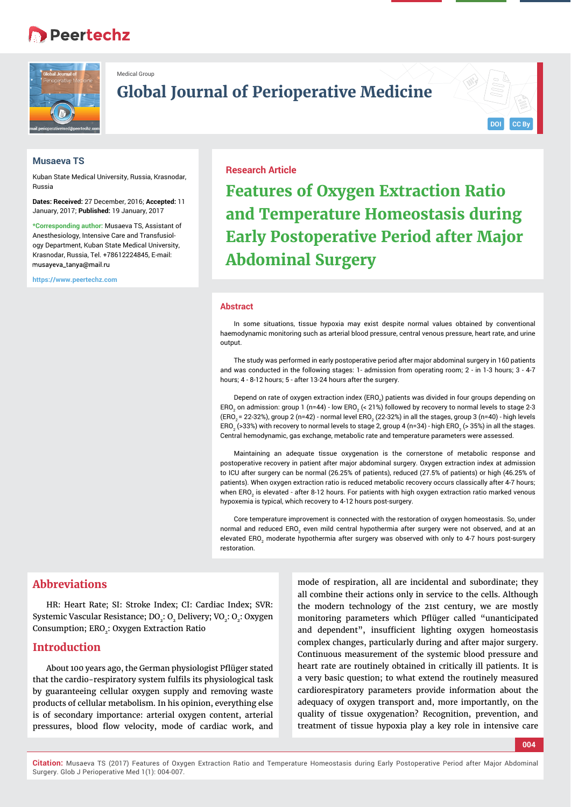# **Peertechz**



Medical Group

## **Global Journal of Perioperative Medicine**

#### **Musaeva TS**

Kuban State Medical University, Russia, Krasnodar, Russia

**Dates: Received:** 27 December, 2016; **Accepted:** 11 January, 2017; **Published:** 19 January, 2017

**\*Corresponding author:** Musaeva TS, Assistant of Anesthesiology, Intensive Care and Transfusiology Department, Kuban State Medical University, Krasnodar, Russia, Tel. +78612224845, E-mail: musayeya\_tanya@mail.ru

**https://www.peertechz.com**

#### **Research Article**

**Features of Oxygen Extraction Ratio and Temperature Homeostasis during Early Postoperative Period after Major Abdominal Surgery**

#### **Abstract**

In some situations, tissue hypoxia may exist despite normal values obtained by conventional haemodynamic monitoring such as arterial blood pressure, central venous pressure, heart rate, and urine output.

The study was performed in early postoperative period after major abdominal surgery in 160 patients and was conducted in the following stages: 1- admission from operating room; 2 - in 1-3 hours; 3 - 4-7 hours; 4 - 8-12 hours; 5 - after 13-24 hours after the surgery.

Depend on rate of oxygen extraction index (ERO $_{\rm 2}$ ) patients was divided in four groups depending on ERO $_2$  on admission: group 1 (n=44) - low ERO $_2$  (< 21%) followed by recovery to normal levels to stage 2-3 (ERO<sub>2</sub> = 22-32%), group 2 (n=42) - normal level ERO<sub>2</sub> (22-32%) in all the stages, group 3 (n=40) - high levels ERO $_2$  (>33%) with recovery to normal levels to stage 2, group 4 (n=34) - high ERO $_2$  (> 35%) in all the stages. Central hemodynamic, gas exchange, metabolic rate and temperature parameters were assessed.

Maintaining an adequate tissue oxygenation is the cornerstone of metabolic response and postoperative recovery in patient after major abdominal surgery. Oxygen extraction index at admission to ICU after surgery can be normal (26.25% of patients), reduced (27.5% of patients) or high (46.25% of patients). When oxygen extraction ratio is reduced metabolic recovery occurs classically after 4-7 hours; when ERO $_2$  is elevated - after 8-12 hours. For patients with high oxygen extraction ratio marked venous hypoxemia is typical, which recovery to 4-12 hours post-surgery.

Core temperature improvement is connected with the restoration of oxygen homeostasis. So, under normal and reduced ERO<sub>2</sub> even mild central hypothermia after surgery were not observed, and at an elevated ERO $_2$  moderate hypothermia after surgery was observed with only to 4-7 hours post-surgery restoration.

## **Abbreviations**

HR: Heart Rate; SI: Stroke Index; CI: Cardiac Index; SVR: Systemic Vascular Resistance; DO<sub>2</sub>: O<sub>2</sub> Delivery; VO<sub>2</sub>: O<sub>2</sub>: Oxygen Consumption; ERO<sub>2</sub>: Oxygen Extraction Ratio

#### **Introduction**

About 100 years ago, the German physiologist Pflüger stated that the cardio-respiratory system fulfils its physiological task by guaranteeing cellular oxygen supply and removing waste products of cellular metabolism. In his opinion, everything else is of secondary importance: arterial oxygen content, arterial pressures, blood flow velocity, mode of cardiac work, and

mode of respiration, all are incidental and subordinate; they all combine their actions only in service to the cells. Although the modern technology of the 21st century, we are mostly monitoring parameters which Pflüger called "unanticipated and dependent", insufficient lighting oxygen homeostasis complex changes, particularly during and after major surgery. Continuous measurement of the systemic blood pressure and heart rate are routinely obtained in critically ill patients. It is a very basic question; to what extend the routinely measured cardiorespiratory parameters provide information about the adequacy of oxygen transport and, more importantly, on the quality of tissue oxygenation? Recognition, prevention, and treatment of tissue hypoxia play a key role in intensive care

**004**

**DOI CC By**

**Citation:** Musaeva TS (2017) Features of Oxygen Extraction Ratio and Temperature Homeostasis during Early Postoperative Period after Major Abdominal Surgery. Glob J Perioperative Med 1(1): 004-007.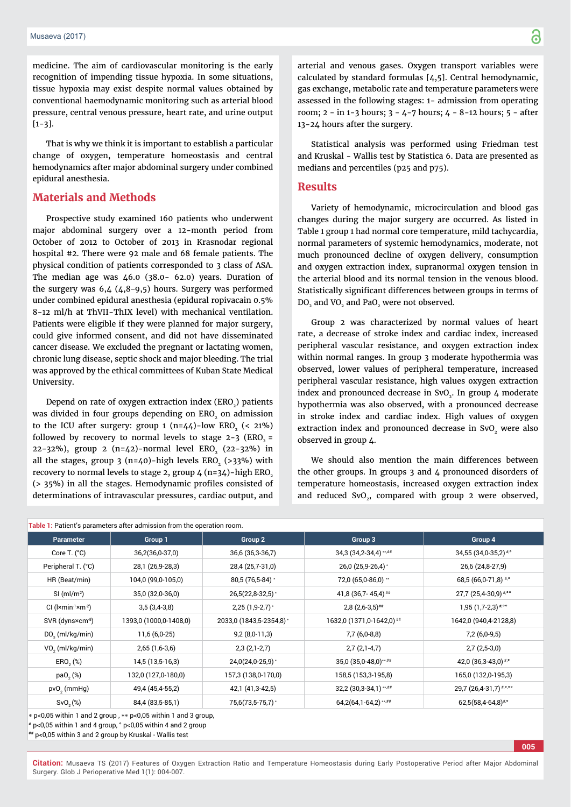medicine. The aim of cardiovascular monitoring is the early recognition of impending tissue hypoxia. In some situations, tissue hypoxia may exist despite normal values obtained by conventional haemodynamic monitoring such as arterial blood pressure, central venous pressure, heart rate, and urine output [1-3].

That is why we think it is important to establish a particular change of oxygen, temperature homeostasis and central hemodynamics after major abdominal surgery under combined epidural anesthesia.

### **Materials and Methods**

Prospective study examined 160 patients who underwent major abdominal surgery over a 12-month period from October of 2012 to October of 2013 in Krasnodar regional hospital #2. There were 92 male and 68 female patients. The physical condition of patients corresponded to 3 class of ASA. The median age was 46.0 (38.0- 62.0) years. Duration of the surgery was  $6,4$  (4,8-9,5) hours. Surgery was performed under combined epidural anesthesia (epidural ropivacain 0.5% 8-12 ml/h at ThVII-ThIX level) with mechanical ventilation. Patients were eligible if they were planned for major surgery, could give informed consent, and did not have disseminated cancer disease. We excluded the pregnant or lactating women, chronic lung disease, septic shock and major bleeding. The trial was approved by the ethical committees of Kuban State Medical University.

Depend on rate of oxygen extraction index  $(ERO<sub>2</sub>)$  patients was divided in four groups depending on ERO<sub>2</sub> on admission to the ICU after surgery: group  $1 (n=44)$ -low ERO<sub>3</sub> (< 21%) followed by recovery to normal levels to stage  $2-3$  (ERO<sub>2</sub> = 22-32%), group 2 (n=42)-normal level ERO<sub>2</sub> (22-32%) in all the stages, group  $3$  (n=40)-high levels ERO<sub>2</sub> (>33%) with recovery to normal levels to stage 2, group  $\frac{1}{4}$  (n=34)-high ERO<sub>2</sub>  $($  > 35%) in all the stages. Hemodynamic profiles consisted of determinations of intravascular pressures, cardiac output, and

**005**

arterial and venous gases. Oxygen transport variables were calculated by standard formulas [4,5]. Central hemodynamic, gas exchange, metabolic rate and temperature parameters were assessed in the following stages: 1- admission from operating room; 2 - in 1-3 hours; 3 - 4-7 hours; 4 - 8-12 hours; 5 - after 13-24 hours after the surgery.

Statistical analysis was performed using Friedman test and Kruskal - Wallis test by Statistica 6. Data are presented as medians and percentiles (p25 and p75).

#### **Results**

Variety of hemodynamic, microcirculation and blood gas changes during the major surgery are occurred. As listed in Table 1 group 1 had normal core temperature, mild tachycardia, normal parameters of systemic hemodynamics, moderate, not much pronounced decline of oxygen delivery, consumption and oxygen extraction index, supranormal oxygen tension in the arterial blood and its normal tension in the venous blood. Statistically significant differences between groups in terms of DO<sub>2</sub> and VO<sub>2</sub> and PaO<sub>2</sub> were not observed.

Group 2 was characterized by normal values of heart rate, a decrease of stroke index and cardiac index, increased peripheral vascular resistance, and oxygen extraction index within normal ranges. In group 3 moderate hypothermia was observed, lower values of peripheral temperature, increased peripheral vascular resistance, high values oxygen extraction index and pronounced decrease in SvO<sub>2</sub>. In group 4 moderate hypothermia was also observed, with a pronounced decrease in stroke index and cardiac index. High values of oxygen extraction index and pronounced decrease in SvO<sub>2</sub> were also observed in group 4.

We should also mention the main differences between the other groups. In groups 3 and 4 pronounced disorders of temperature homeostasis, increased oxygen extraction index and reduced  $SvO<sub>2</sub>$ , compared with group 2 were observed,

| Table 1: Patient's parameters after admission from the operation room. |                                                                    |                         |                           |                                   |  |  |  |
|------------------------------------------------------------------------|--------------------------------------------------------------------|-------------------------|---------------------------|-----------------------------------|--|--|--|
| <b>Parameter</b>                                                       | Group 1                                                            | Group 2                 | Group 3                   | Group 4                           |  |  |  |
| Core T. $(^{\circ}C)$                                                  | 36,2(36,0-37,0)                                                    | 36,6 (36,3-36,7)        | 34,3 (34,2-34,4) **,##    | $34,55$ (34,0-35,2) $*$ °         |  |  |  |
| Peripheral T. (°C)                                                     | 28,1 (26,9-28,3)                                                   | 28,4 (25,7-31,0)        | 26,0 (25,9-26,4)*         | 26,6 (24,8-27,9)                  |  |  |  |
| HR (Beat/min)                                                          | 104,0 (99,0-105,0)                                                 | 80,5 (76,5-84) *        | 72,0 (65,0-86,0) **       | 68,5 (66,0-71,8) $*$ °            |  |  |  |
| $SI$ (ml/m <sup>2</sup> )                                              | 35,0 (32,0-36,0)                                                   | $26,5(22,8-32,5)$ *     | 41,8 (36,7-45,4) $**$     | $27,7$ (25,4-30,9) $*$ °°         |  |  |  |
| $Cl$ ( $l$ ×min <sup>-1</sup> ×m <sup>-2</sup> )                       | $3,5(3,4-3,8)$                                                     | $2,25$ (1,9-2,7) $*$    | $2,8(2,6-3,5)$ ##         | $1,95(1,7-2,3)$ <sup>#,oo</sup>   |  |  |  |
| SVR (dyns×cm <sup>-5</sup> )                                           | 1393,0 (1000,0-1408,0)                                             | 2033,0 (1843,5-2354,8)* | 1632,0 (1371,0-1642,0) ## | 1642,0 (940,4-2128,8)             |  |  |  |
| $DO2$ (ml/kg/min)                                                      | 11,6 (6,0-25)                                                      | $9,2(8,0-11,3)$         | $7,7(6,0-8,8)$            | $7,2(6,0-9,5)$                    |  |  |  |
| $VO2$ (ml/kg/min)                                                      | $2,65(1,6-3,6)$                                                    | $2,3(2,1-2,7)$          | $2,7(2,1-4,7)$            | $2,7(2,5-3,0)$                    |  |  |  |
| ERO <sub>2</sub> (%)                                                   | 14,5 (13,5-16,3)                                                   | $24,0(24,0-25,9)$ *     | 35,0 (35,0-48,0)**,##     | 42,0 $(36,3-43,0)$ <sup>#,*</sup> |  |  |  |
| pa0, (%)                                                               | 132,0 (127,0-180,0)                                                | 157,3 (138,0-170,0)     | 158,5 (153,3-195,8)       | 165,0 (132,0-195,3)               |  |  |  |
| $pvO2$ (mmHg)                                                          | 49,4 (45,4-55,2)                                                   | 42,1 (41,3-42,5)        | $32,2$ (30,3-34,1) **,##  | 29,7 (26,4-31,7) ****             |  |  |  |
| SvO <sub>2</sub> (%)                                                   | 84,4 (83,5-85,1)                                                   | 75,6(73,5-75,7)*        | $64,2(64,1-64,2)$ ****    | 62,5(58,4-64,8)#,°                |  |  |  |
|                                                                        | $*$ p<0,05 within 1 and 2 group, $**$ p<0,05 within 1 and 3 group, |                         |                           |                                   |  |  |  |

 $*$  p<0,05 within 1 and 4 group,  $*$  p<0,05 within 4 and 2 group

## р<0,05 within 3 and 2 group by Kruskal - Wallis test

**Citation:** Musaeva TS (2017) Features of Oxygen Extraction Ratio and Temperature Homeostasis during Early Postoperative Period after Major Abdominal Surgery. Glob J Perioperative Med 1(1): 004-007.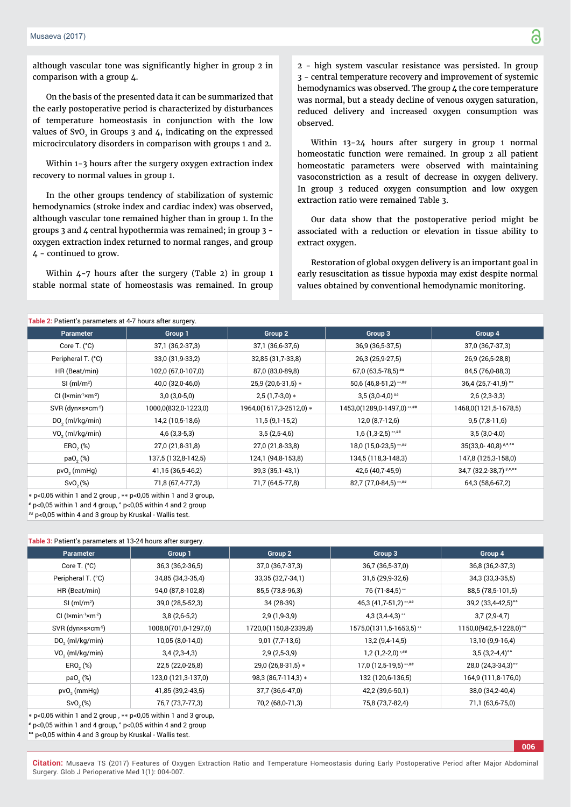although vascular tone was significantly higher in group 2 in comparison with a group 4.

On the basis of the presented data it can be summarized that the early postoperative period is characterized by disturbances of temperature homeostasis in conjunction with the low values of SvO<sub>2</sub> in Groups 3 and  $\mu$ , indicating on the expressed microcirculatory disorders in comparison with groups 1 and 2.

Within 1-3 hours after the surgery oxygen extraction index recovery to normal values in group 1.

In the other groups tendency of stabilization of systemic hemodynamics (stroke index and cardiac index) was observed, although vascular tone remained higher than in group 1. In the groups 3 and 4 central hypothermia was remained; in group 3 oxygen extraction index returned to normal ranges, and group 4 - continued to grow.

Within 4-7 hours after the surgery (Table 2) in group 1 stable normal state of homeostasis was remained. In group

2 - high system vascular resistance was persisted. In group 3 - central temperature recovery and improvement of systemic hemodynamics was observed. The group 4 the core temperature was normal, but a steady decline of venous oxygen saturation, reduced delivery and increased oxygen consumption was observed.

Within 13-24 hours after surgery in group 1 normal homeostatic function were remained. In group 2 all patient homeostatic parameters were observed with maintaining vasoconstriction as a result of decrease in oxygen delivery. In group 3 reduced oxygen consumption and low oxygen extraction ratio were remained Table 3.

Our data show that the postoperative period might be associated with a reduction or elevation in tissue ability to extract oxygen.

Restoration of global oxygen delivery is an important goal in early resuscitation as tissue hypoxia may exist despite normal values obtained by conventional hemodynamic monitoring.

| Table 2: Patient's parameters at 4-7 hours after surgery. |                      |                         |                            |                                      |
|-----------------------------------------------------------|----------------------|-------------------------|----------------------------|--------------------------------------|
| <b>Parameter</b>                                          | Group 1              | Group 2                 | Group 3                    | Group 4                              |
| Core T. $(^{\circ}C)$                                     | 37,1 (36,2-37,3)     | 37,1 (36,6-37,6)        | 36,9 (36,5-37,5)           | 37,0 (36,7-37,3)                     |
| Peripheral T. (°C)                                        | 33,0 (31,9-33,2)     | 32,85 (31,7-33,8)       | 26,3 (25,9-27,5)           | 26,9 (26,5-28,8)                     |
| HR (Beat/min)                                             | 102,0 (67,0-107,0)   | 87,0 (83,0-89,8)        | $67,0(63,5-78,5)$ ##       | 84,5 (76,0-88,3)                     |
| $SI$ (ml/m <sup>2</sup> )                                 | 40,0 (32,0-46,0)     | 25,9 (20,6-31,5) *      | 50,6 (46,8-51,2)**,##      | 36,4 (25,7-41,9) °°                  |
| $Cl$ ( $l$ ×min <sup>-1</sup> ×m <sup>-2</sup> )          | $3,0(3,0-5,0)$       | $2,5(1,7-3,0)*$         | $3,5(3,0-4,0)$ ##          | $2,6(2,3-3,3)$                       |
| SVR (dyn×s×cm <sup>-5</sup> )                             | 1000,0(832,0-1223,0) | 1964,0(1617,3-2512,0) * | 1453,0(1289,0-1497,0)**,## | 1468,0(1121,5-1678,5)                |
| $DO2$ (ml/kg/min)                                         | 14,2 (10,5-18,6)     | $11,5(9,1-15,2)$        | 12,0 (8,7-12,6)            | $9,5(7,8-11,6)$                      |
| $VO2$ (ml/kg/min)                                         | $4,6$ (3,3-5,3)      | $3,5(2,5-4,6)$          | $1,6$ (1,3-2,5) **,##      | $3,5(3,0-4,0)$                       |
| ERO <sub>2</sub> (%)                                      | 27,0 (21,8-31,8)     | 27,0 (21,8-33,8)        | $18,0(15,0-23,5)$ **,##    | $35(33,0 - 40,8)$ <sup>#,o,oo</sup>  |
| $paO,$ $%$                                                | 137,5 (132,8-142,5)  | 124,1 (94,8-153,8)      | 134,5 (118,3-148,3)        | 147,8 (125,3-158,0)                  |
| $pvO2$ (mmHg)                                             | 41,15 (36,5-46,2)    | 39,3 (35,1-43,1)        | 42,6 (40,7-45,9)           | 34,7 $(32,2-38,7)$ <sup>#,*,**</sup> |
| Sv0, %                                                    | 71,8 (67,4-77,3)     | 71,7 (64,5-77,8)        | 82,7 (77,0-84,5) **,##     | 64,3 (58,6-67,2)                     |
|                                                           |                      |                         |                            |                                      |

 $\ast$  p<0,05 within 1 and 2 group,  $\ast\ast$  p<0,05 within 1 and 3 group,

# р<0,05 within 1 and 4 group, ° р<0,05 within 4 and 2 group

## р<0,05 within 4 and 3 group by Kruskal - Wallis test.

**Table 3:** Patient's parameters at 13-24 hours after surgery. Parameter Group 1 Group 2 Group 3 Group 4 Core T. (°С) 36,3 (36,2-36,5) 37,0 (36,7-37,3) 36,7 (36,5-37,0) 36,8 (36,2-37,3) Peripheral T. (°C) 34,85 (34,3-35,4) 33,35 (32,7-34,1) 31,6 (29,9-32,6) 34,3 (33,3-35,5) HR (Beat/min) 94,0 (87,8-102,8) 85,5 (73,8-96,3) 76 (71-84,5) 88,5 (78,5-101,5)  $SI$  (ml/m<sup>2</sup>) 39,0 (28,5-52,3) 34 (28-39) 34 (28-39) 46,3 (41,7-51,2)  $...$ # 39,2 (33,4-42,5) $^{\circ}$ CI (l×min<sup>-1</sup>×m<sup>-2</sup>) 3,8 (2,6-5,2) 2,9 (1,9-3,9) 4,3 (3,4-4,3) \*\* 3,7 (2,9-4,7) SVR (dyn×s×cm<sup>-5</sup>) 1008,0(701,0-1297,0) 1720,0(1150,8-2339,8) 1575,0(1311,5-1653,5) <sup>\*</sup> 1150,0(942,5-1228,0)<sup>o</sup>° DO<sub>2</sub> (ml/kg/min) (ml/kg/min) 10,05 (8,0-14,0) 9,01 (7,7-13,6) 13,2 (9,4-14,5) 13,10 (9,9-16,4) VO<sub>2</sub> (ml/kg/min)  $(m)/kg/min)$  3,4 (2,3-4,3) 2,9 (2,5-3,9) 1,2 (1,2-2,0)<sup>\*#\*</sup> 3,5 (3,2-4,4)<sup>o\*</sup>  $ERO<sub>2</sub>(%)$  $(22,5 (22,0-25,8)$   $29,0 (26,8-31,5)*$   $17,0 (12,5-19,5)***$   $28,0 (24,3-34,3)*$ раО<sub>2</sub> (%) 123,0 (121,3-137,0) 98,3 (86,7-114,3)  $*$  132 (120,6-136,5) 164,9 (111,8-176,0) pvO<sub>2</sub> (mmHq) (mmHg) 41,85 (39,2-43,5) 37,7 (36,6-47,0) 42,2 (39,6-50,1) 38,0 (34,2-40,4) SvO<sub>2</sub>(%) 76,7 (73,7-77,3) 70,2 (68,0-71,3) 75,8 (73,7-82,4) 71,1 (63,6-75,0)

 $*$  p<0,05 within 1 and 2 group,  $**$  p<0,05 within 1 and 3 group,

 $*$  p<0,05 within 1 and 4 group,  $\degree$  p<0,05 within 4 and 2 group

°° р<0,05 within 4 and 3 group by Kruskal - Wallis test.

**Citation:** Musaeva TS (2017) Features of Oxygen Extraction Ratio and Temperature Homeostasis during Early Postoperative Period after Major Abdominal Surgery. Glob J Perioperative Med 1(1): 004-007.

**006**